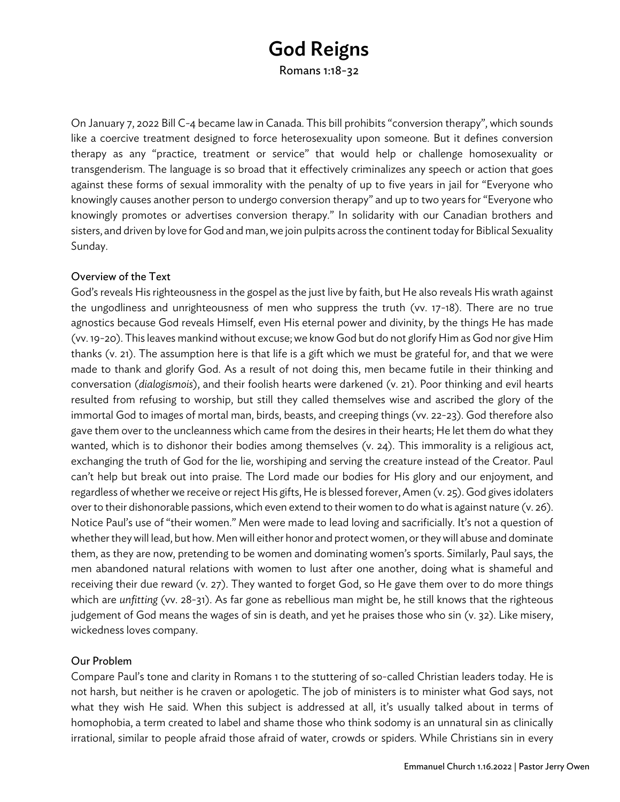# God Reigns

Romans 1:18-32

On January 7, 2022 Bill C-4 became law in Canada. This bill prohibits "conversion therapy", which sounds like a coercive treatment designed to force heterosexuality upon someone. But it defines conversion therapy as any "practice, treatment or service" that would help or challenge homosexuality or transgenderism. The language is so broad that it effectively criminalizes any speech or action that goes against these forms of sexual immorality with the penalty of up to five years in jail for "Everyone who knowingly causes another person to undergo conversion therapy" and up to two years for "Everyone who knowingly promotes or advertises conversion therapy." In solidarity with our Canadian brothers and sisters, and driven by love for God and man, we join pulpits across the continent today for Biblical Sexuality Sunday.

### Overview of the Text

God's reveals His righteousness in the gospel as the just live by faith, but He also reveals His wrath against the ungodliness and unrighteousness of men who suppress the truth (vv. 17-18). There are no true agnostics because God reveals Himself, even His eternal power and divinity, by the things He has made (vv. 19-20). This leaves mankind without excuse; we know God but do not glorify Him as God nor give Him thanks (v. 21). The assumption here is that life is a gift which we must be grateful for, and that we were made to thank and glorify God. As a result of not doing this, men became futile in their thinking and conversation (*dialogismois*), and their foolish hearts were darkened (v. 21). Poor thinking and evil hearts resulted from refusing to worship, but still they called themselves wise and ascribed the glory of the immortal God to images of mortal man, birds, beasts, and creeping things (vv. 22-23). God therefore also gave them over to the uncleanness which came from the desires in their hearts; He let them do what they wanted, which is to dishonor their bodies among themselves (v. 24). This immorality is a religious act, exchanging the truth of God for the lie, worshiping and serving the creature instead of the Creator. Paul can't help but break out into praise. The Lord made our bodies for His glory and our enjoyment, and regardless of whether we receive or reject His gifts, He is blessed forever, Amen (v. 25). God gives idolaters over to their dishonorable passions, which even extend to their women to do what is against nature (v. 26). Notice Paul's use of "their women." Men were made to lead loving and sacrificially. It's not a question of whether they will lead, but how. Men will either honor and protect women, or they will abuse and dominate them, as they are now, pretending to be women and dominating women's sports. Similarly, Paul says, the men abandoned natural relations with women to lust after one another, doing what is shameful and receiving their due reward (v. 27). They wanted to forget God, so He gave them over to do more things which are *unfitting* (vv. 28-31). As far gone as rebellious man might be, he still knows that the righteous judgement of God means the wages of sin is death, and yet he praises those who sin (v. 32). Like misery, wickedness loves company.

### Our Problem

Compare Paul's tone and clarity in Romans 1 to the stuttering of so-called Christian leaders today. He is not harsh, but neither is he craven or apologetic. The job of ministers is to minister what God says, not what they wish He said. When this subject is addressed at all, it's usually talked about in terms of homophobia, a term created to label and shame those who think sodomy is an unnatural sin as clinically irrational, similar to people afraid those afraid of water, crowds or spiders. While Christians sin in every